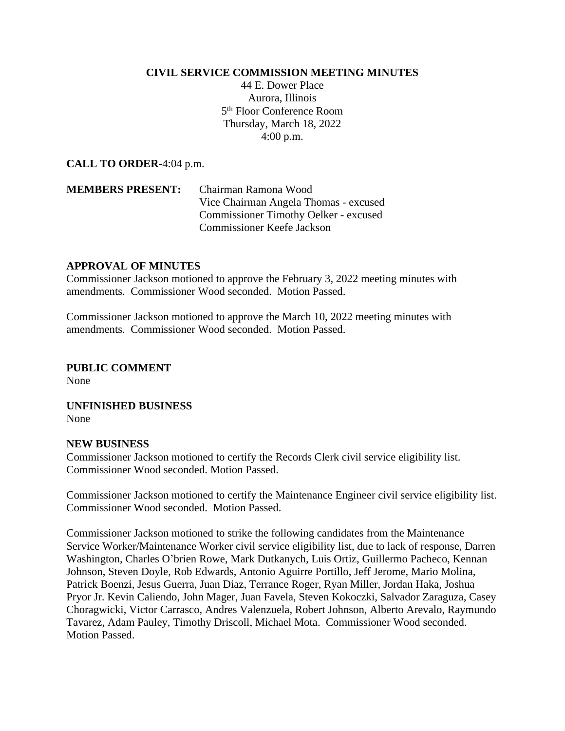## **CIVIL SERVICE COMMISSION MEETING MINUTES**

44 E. Dower Place Aurora, Illinois 5 th Floor Conference Room Thursday, March 18, 2022 4:00 p.m.

**CALL TO ORDER-**4:04 p.m.

## **MEMBERS PRESENT:** Chairman Ramona Wood Vice Chairman Angela Thomas - excused Commissioner Timothy Oelker - excused Commissioner Keefe Jackson

## **APPROVAL OF MINUTES**

Commissioner Jackson motioned to approve the February 3, 2022 meeting minutes with amendments. Commissioner Wood seconded. Motion Passed.

Commissioner Jackson motioned to approve the March 10, 2022 meeting minutes with amendments. Commissioner Wood seconded. Motion Passed.

**PUBLIC COMMENT** None

**UNFINISHED BUSINESS** None

## **NEW BUSINESS**

Commissioner Jackson motioned to certify the Records Clerk civil service eligibility list. Commissioner Wood seconded. Motion Passed.

Commissioner Jackson motioned to certify the Maintenance Engineer civil service eligibility list. Commissioner Wood seconded. Motion Passed.

Commissioner Jackson motioned to strike the following candidates from the Maintenance Service Worker/Maintenance Worker civil service eligibility list, due to lack of response, Darren Washington, Charles O'brien Rowe, Mark Dutkanych, Luis Ortiz, Guillermo Pacheco, Kennan Johnson, Steven Doyle, Rob Edwards, Antonio Aguirre Portillo, Jeff Jerome, Mario Molina, Patrick Boenzi, Jesus Guerra, Juan Diaz, Terrance Roger, Ryan Miller, Jordan Haka, Joshua Pryor Jr. Kevin Caliendo, John Mager, Juan Favela, Steven Kokoczki, Salvador Zaraguza, Casey Choragwicki, Victor Carrasco, Andres Valenzuela, Robert Johnson, Alberto Arevalo, Raymundo Tavarez, Adam Pauley, Timothy Driscoll, Michael Mota. Commissioner Wood seconded. Motion Passed.